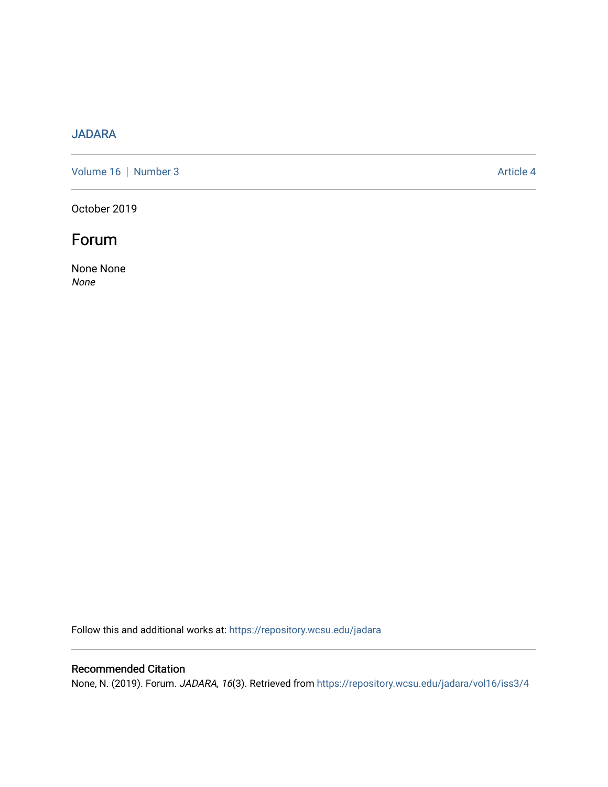#### [JADARA](https://repository.wcsu.edu/jadara)

[Volume 16](https://repository.wcsu.edu/jadara/vol16) | [Number 3](https://repository.wcsu.edu/jadara/vol16/iss3) Article 4

October 2019

## Forum

None None None

Follow this and additional works at: [https://repository.wcsu.edu/jadara](https://repository.wcsu.edu/jadara?utm_source=repository.wcsu.edu%2Fjadara%2Fvol16%2Fiss3%2F4&utm_medium=PDF&utm_campaign=PDFCoverPages)

#### Recommended Citation

None, N. (2019). Forum. JADARA, 16(3). Retrieved from [https://repository.wcsu.edu/jadara/vol16/iss3/4](https://repository.wcsu.edu/jadara/vol16/iss3/4?utm_source=repository.wcsu.edu%2Fjadara%2Fvol16%2Fiss3%2F4&utm_medium=PDF&utm_campaign=PDFCoverPages)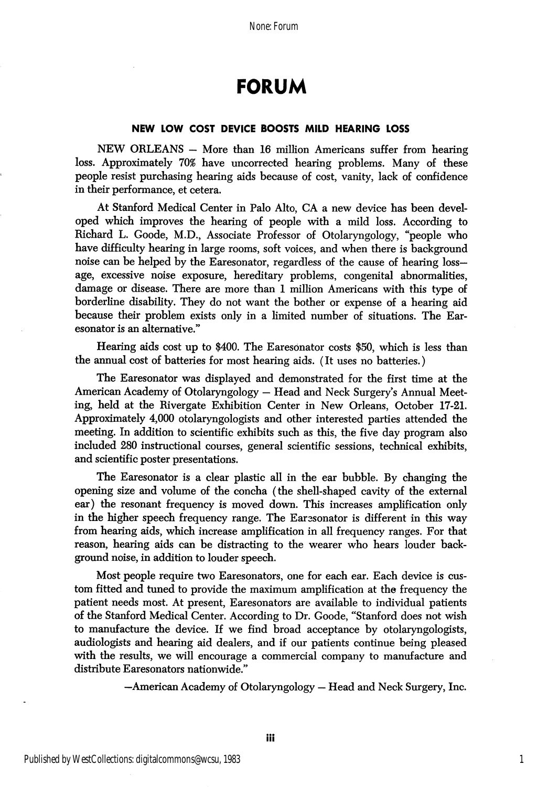## FORUM

#### NEW LOW COST DEVICE BOOSTS MILD HEARING LOSS

NEW ORLEANS - More than 16 million Americans suffer from hearing loss. Approximately 70% have uncorrected hearing problems. Many of these people resist purchasing hearing aids because of cost, vanity, lack of confidence in their performance, et cetera.

At Stanford Medical Center in Palo Alto, CA a new device has been devel oped which improves the hearing of people with a mild loss. According to Richard L. Goode, M.D., Associate Professor of Otolaryngology, "people who have difficulty hearing in large rooms, soft voices, and when there is background noise can be helped by the Earesonator, regardless of the cause of hearing lossage, excessive noise exposure, hereditary problems, congenital abnormalities, damage or disease. There are more than 1 million Americans with this type of borderline disability. They do not want the bother or expense of a hearing aid because their problem exists only in a limited number of situations. The Ear esonator is an alternative."

Hearing aids cost up to \$400. The Earesonator costs \$50, which is less than the annual cost of batteries for most hearing aids. (It uses no batteries.)

The Earesonator was displayed and demonstrated for the first time at the American Academy of Otolaryngology — Head and Neck Surgery's Annual Meet ing, held at the Rivergate Exhibition Center in New Orleans, October 17-21. Approximately 4,000 otolaryngologists and other interested parties attended the meeting. In addition to scientific exhibits such as this, the five day program also included 280 instructional courses, general scientific sessions, technical exhibits, and scientific poster presentations.

The Earesonator is a clear plastic all in the ear bubble. By changing the opening size and volume of the concha (the shell-shaped cavity of the external ear) the resonant frequency is moved down. This increases amplification only in the higher speech frequency range. The Earesonator is different in this way from hearing aids, which increase amplification in all frequency ranges. For that reason, hearing aids can be distracting to the wearer who hears louder back ground noise, in addition to louder speech.

Most people require two Earesonators, one for each ear. Each device is cus tom fitted and tuned to provide the maximum amplification at the frequency the patient needs most. At present, Earesonators are available to individual patients of the Stanford Medical Center. According to Dr. Goode, "Stanford does not wish to manufacture the device. If we find broad acceptance by otolaryngologists, audiologists and hearing aid dealers, and if our patients continue being pleased with the results, we will encourage a commercial company to manufacture and distribute Earesonators nationwide."

—American Academy of Otolaryngology — Head and Neck Surgery, Inc.

1